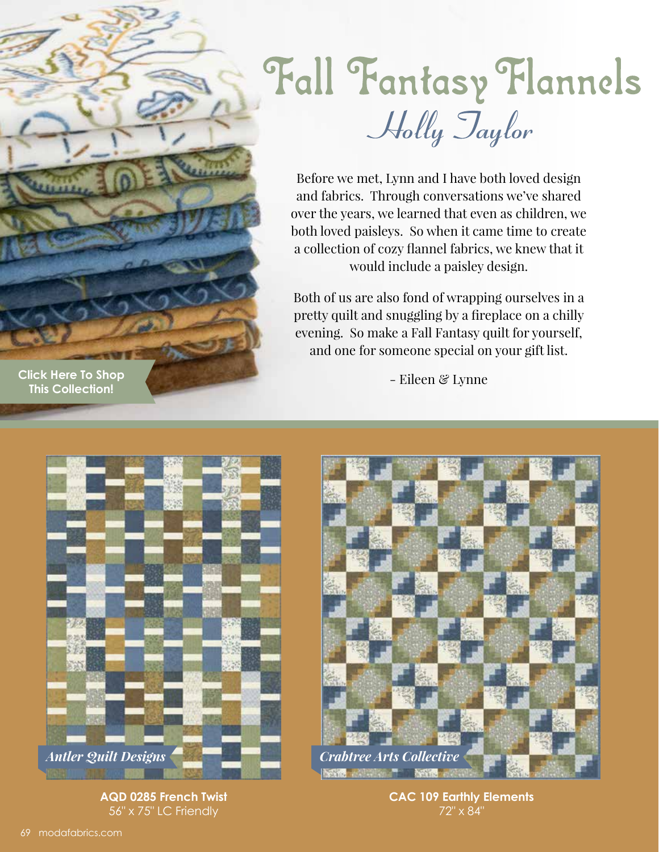

Fall Fantasy Flannels Holly Taylor

Before we met, Lynn and I have both loved design and fabrics. Through conversations we've shared over the years, we learned that even as children, we both loved paisleys. So when it came time to create a collection of cozy flannel fabrics, we knew that it would include a paisley design.

Both of us are also fond of wrapping ourselves in a pretty quilt and snuggling by a fireplace on a chilly evening. So make a Fall Fantasy quilt for yourself, and one for someone special on your gift list.

- Eileen & Lynne



**AQD 0285 French Twist** 56" x 75" LC Friendly



**CAC 109 Earthly Elements** 72" x 84"

**[Click Here To Shop](https://my.modafabrics.com/shop/s/Holly_Taylor/Fall_Fantasy_Flannels/) This Collection!**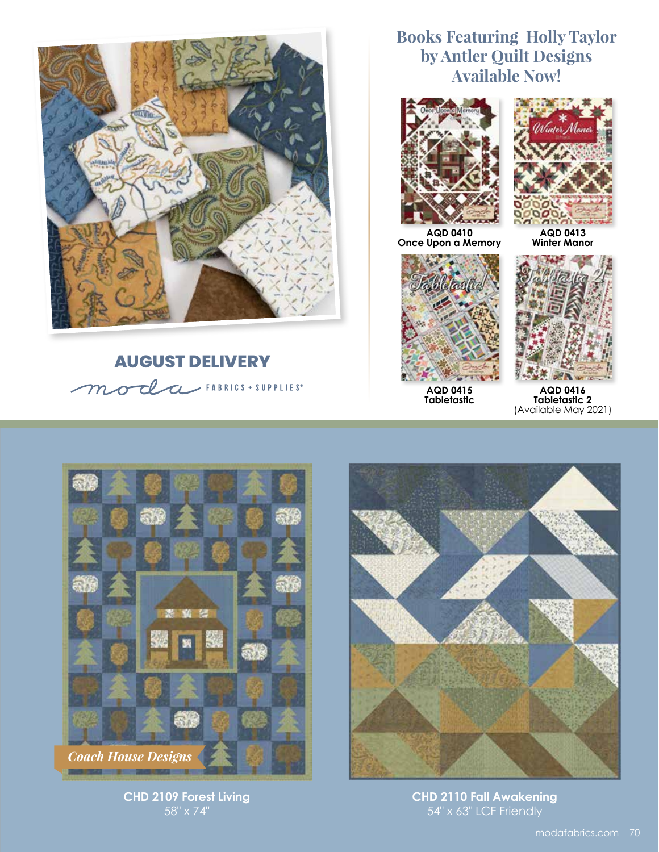

## **AUGUST DELIVERY** moda FABRICS + SUPPLIES

## **Books Featuring Holly Taylor by Antler Quilt Designs Available Now!**



**Once Upon a Memory**



**AQD 0413 Winter Manor**



**AQD 0415 Tabletastic**



**AQD 0416 Tabletastic 2** (Available May 2021)



**CHD 2109 Forest Living** 58" x 74"



**CHD 2110 Fall Awakening** 54" x 63" LCF Friendly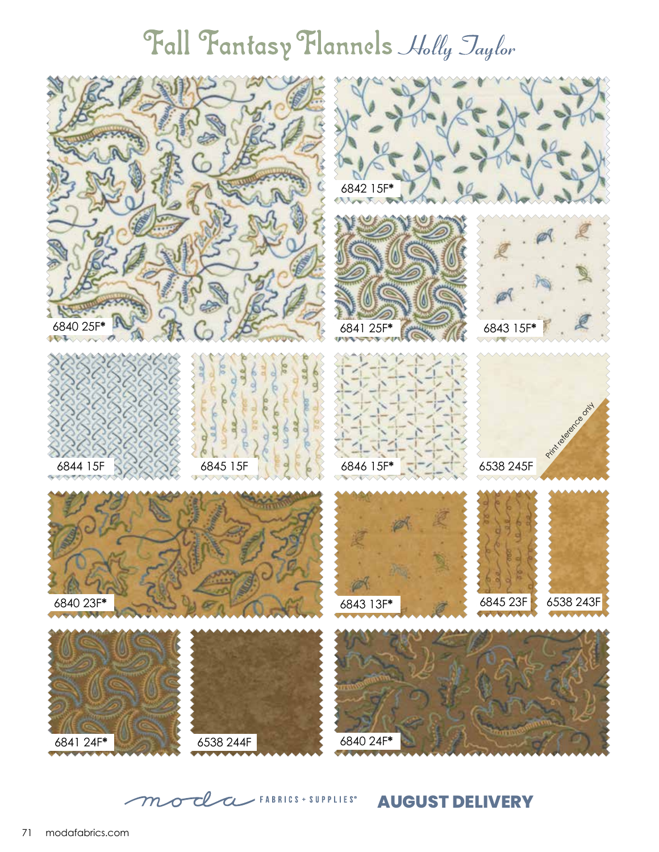## Fall Fantasy Flannels Holly Jaylor



moda FABRICS + SUPPLIES **AUGUST DELIVERY**